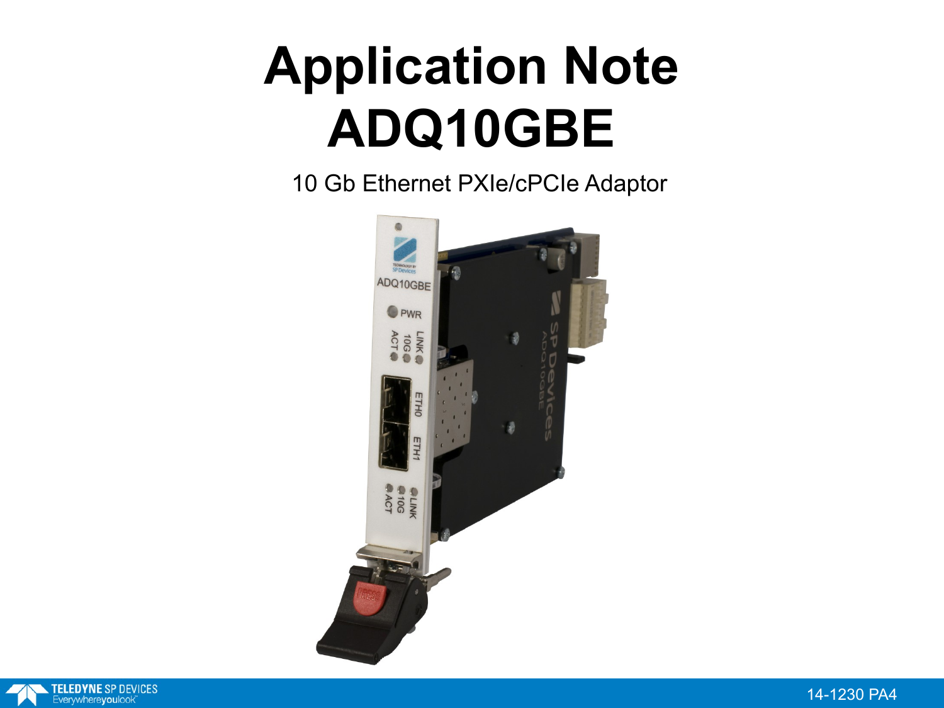### **Application Note ADQ10GBE**

10 Gb Ethernet PXIe/cPCIe Adaptor



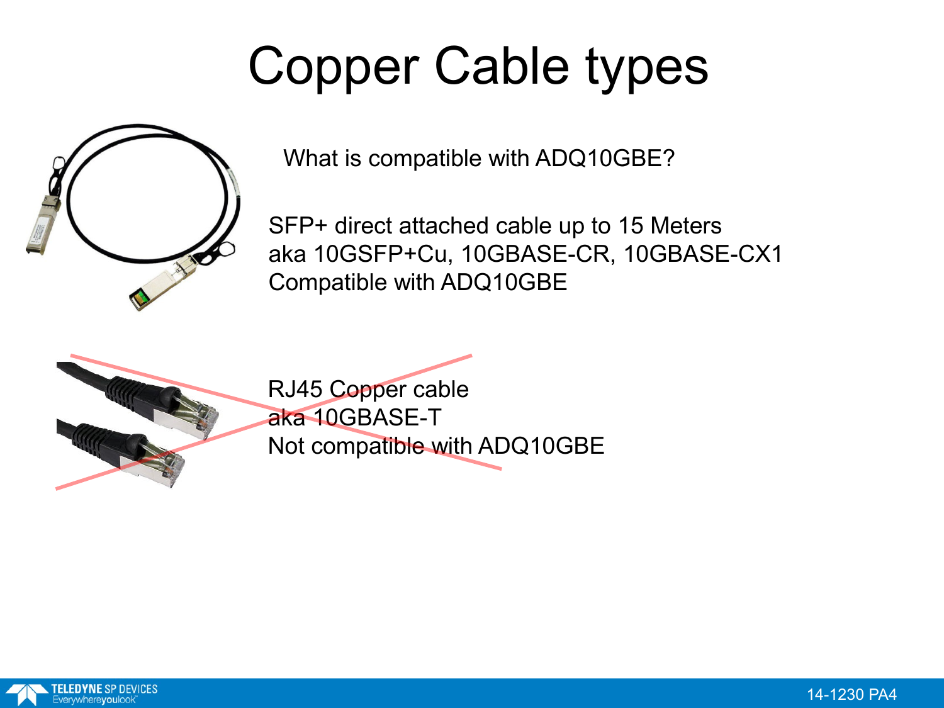# Copper Cable types



What is compatible with ADQ10GBE?

SFP+ direct attached cable up to 15 Meters aka 10GSFP+Cu, 10GBASE-CR, 10GBASE-CX1 Compatible with ADQ10GBE



RJ45 Copper cable aka 10GBASE-T Not compatible with ADQ10GBE

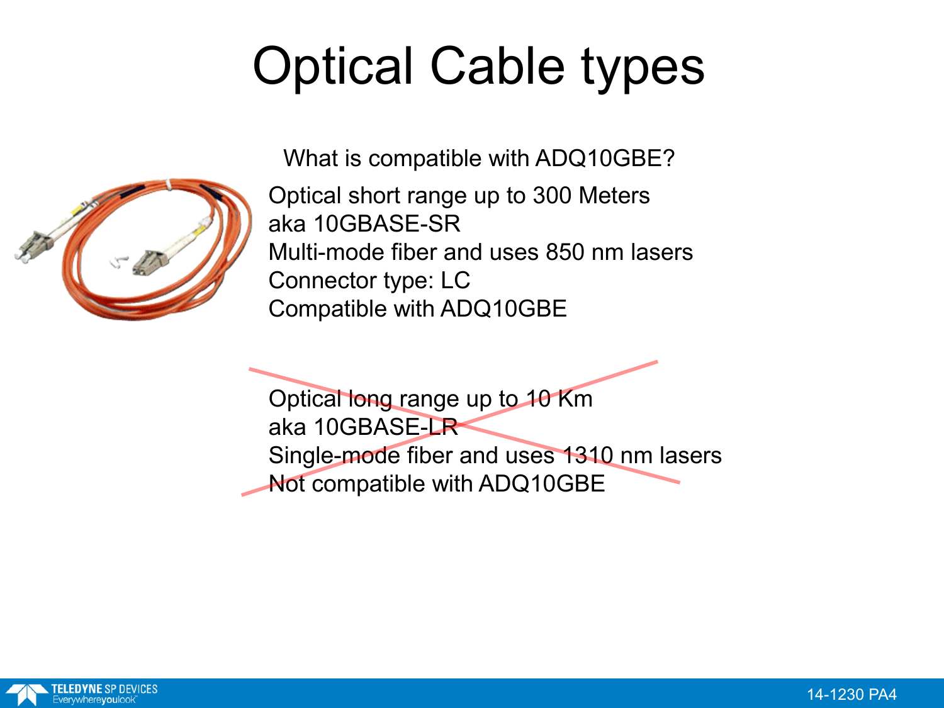# Optical Cable types



What is compatible with ADQ10GBE?

Optical short range up to 300 Meters aka 10GBASE-SR Multi-mode fiber and uses 850 nm lasers Connector type: LC Compatible with ADQ10GBE

Optical long range up to 10 Km aka 10GBASE-LR Single-mode fiber and uses 1310 nm lasers Not compatible with ADQ10GBE

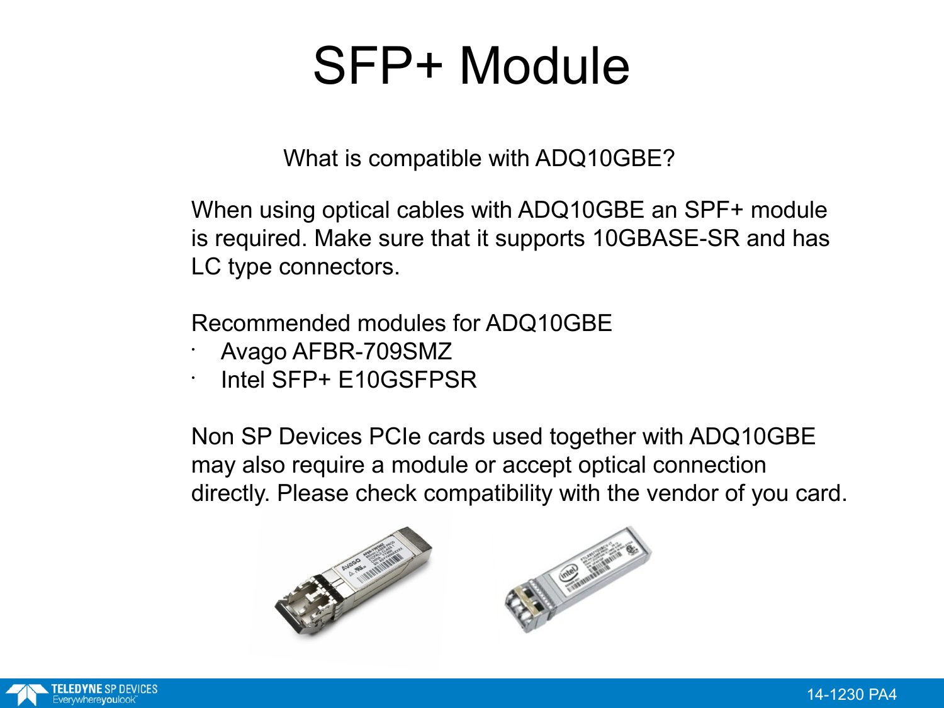#### SFP+ Module

What is compatible with ADQ10GBE?

When using optical cables with ADQ10GBE an SPF+ module is required. Make sure that it supports 10GBASE-SR and has LC type connectors.

Recommended modules for ADQ10GBE

- Avago AFBR-709SMZ
- Intel SFP+ E10GSFPSR

Non SP Devices PCIe cards used together with ADQ10GBE may also require a module or accept optical connection directly. Please check compatibility with the vendor of you card.

College of Column Report



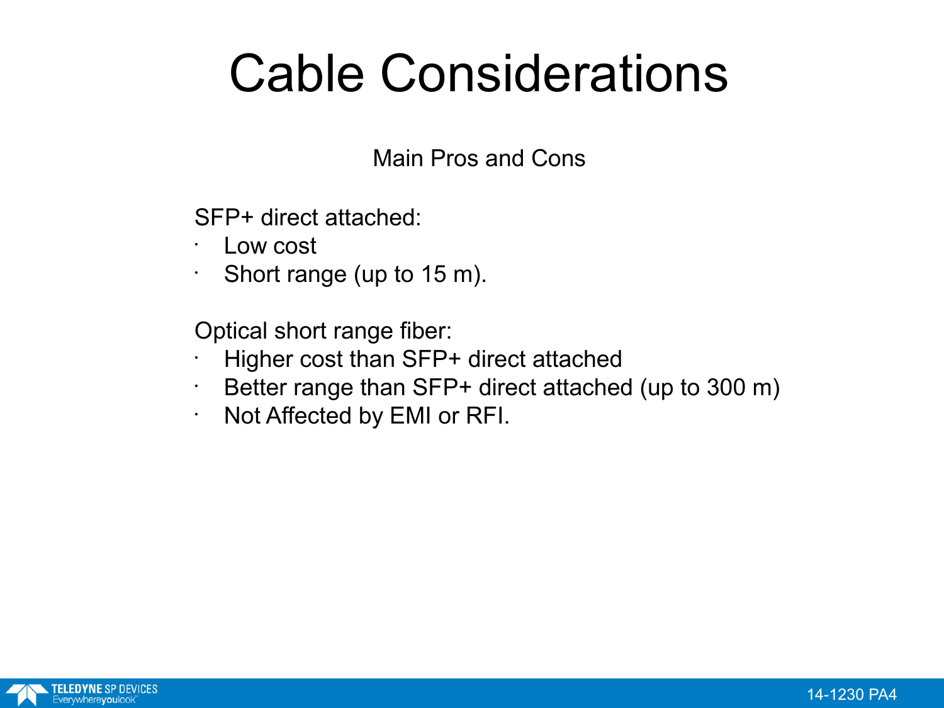#### Cable Considerations

Main Pros and Cons

SFP+ direct attached:

- Low cost
- $\cdot$  Short range (up to 15 m).

Optical short range fiber:

- Higher cost than SFP+ direct attached
- $\cdot$  Better range than SFP+ direct attached (up to 300 m)
- Not Affected by EMI or RFI.

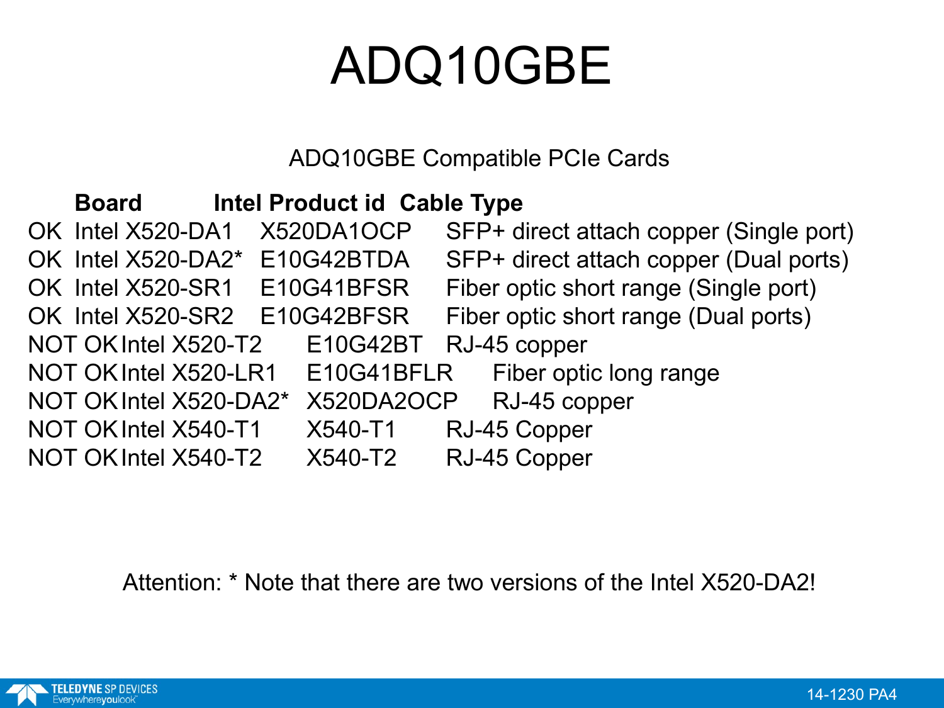### ADQ10GBE

ADQ10GBE Compatible PCIe Cards

| Intel Product id Cable Type<br><b>Board</b> |            |                                         |
|---------------------------------------------|------------|-----------------------------------------|
| OK Intel X520-DA1                           | X520DA1OCP | SFP+ direct attach copper (Single port) |
| OK Intel X520-DA2* E10G42BTDA               |            | SFP+ direct attach copper (Dual ports)  |
| OK Intel X520-SR1 E10G41BFSR                |            | Fiber optic short range (Single port)   |
| OK Intel X520-SR2 E10G42BFSR                |            | Fiber optic short range (Dual ports)    |
| NOT OK Intel X520-T2 E10G42BT               |            | RJ-45 copper                            |
| NOT OK Intel X520-LR1                       | E10G41BFLR | Fiber optic long range                  |
| NOT OK Intel X520-DA2*                      | X520DA2OCP | RJ-45 copper                            |
| NOT OK Intel X540-T1                        | X540-T1    | RJ-45 Copper                            |
| NOT OK Intel X540-T2                        | X540-T2    | RJ-45 Copper                            |

Attention: \* Note that there are two versions of the Intel X520-DA2!